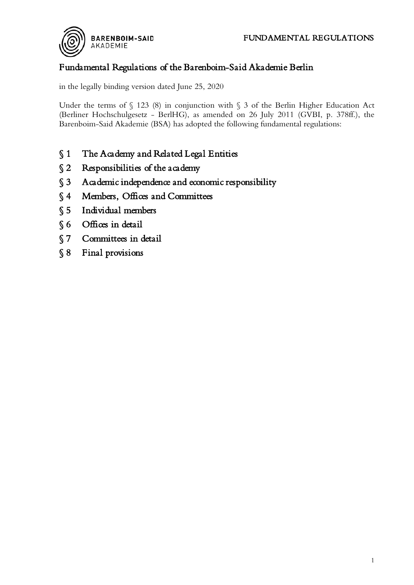

# Fundamental Regulations of the Barenboim-Said Akademie Berlin

in the legally binding version dated June 25, 2020

Under the terms of  $\S$  123 (8) in conjunction with  $\S$  3 of the Berlin Higher Education Act (Berliner Hochschulgesetz - BerlHG), as amended on 26 July 2011 (GVBI, p. 378ff.), the Barenboim-Said Akademie (BSA) has adopted the following fundamental regulations:

- § 1 The Academy and Related Legal Entities
- § 2 Responsibilities of the academy
- [§ 3 Academic independence and economic responsibility](#page-2-0)
- [§ 4 Members, Offices and Committees](#page-2-1)
- [§ 5 Individual members](#page-3-0)
- § 6 Offices in detail
- [§ 7 Committees in detail](#page-5-0)
- [§ 8 Final provisions](#page-7-0)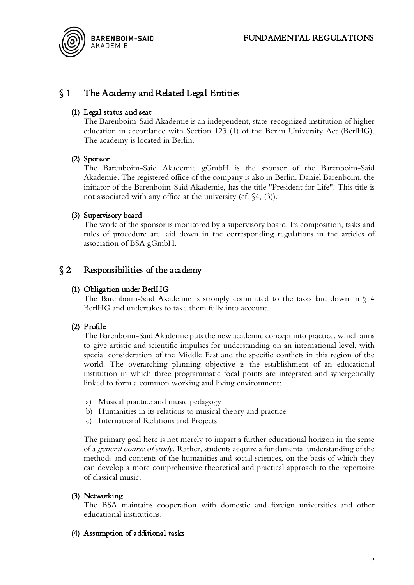

# <span id="page-1-0"></span>§ 1 The Academy and Related Legal Entities

#### (1) Legal status and seat

The Barenboim-Said Akademie is an independent, state-recognized institution of higher education in accordance with Section 123 (1) of the Berlin University Act (BerlHG). The academy is located in Berlin.

#### (2) Sponsor

The Barenboim-Said Akademie gGmbH is the sponsor of the Barenboim-Said Akademie. The registered office of the company is also in Berlin. Daniel Barenboim, the initiator of the Barenboim-Said Akademie, has the title "President for Life". This title is not associated with any office at the university (cf. §4, (3)).

#### (3) Supervisory board

The work of the sponsor is monitored by a supervisory board. Its composition, tasks and rules of procedure are laid down in the corresponding regulations in the articles of association of BSA gGmbH.

## <span id="page-1-1"></span> $\S 2$  Responsibilities of the academy

#### (1) Obligation under BerlHG

The Barenboim-Said Akademie is strongly committed to the tasks laid down in § 4 BerlHG and undertakes to take them fully into account.

#### (2) Profile

The Barenboim-Said Akademie puts the new academic concept into practice, which aims to give artistic and scientific impulses for understanding on an international level, with special consideration of the Middle East and the specific conflicts in this region of the world. The overarching planning objective is the establishment of an educational institution in which three programmatic focal points are integrated and synergetically linked to form a common working and living environment:

- a) Musical practice and music pedagogy
- b) Humanities in its relations to musical theory and practice
- c) International Relations and Projects

The primary goal here is not merely to impart a further educational horizon in the sense of a general course of study. Rather, students acquire a fundamental understanding of the methods and contents of the humanities and social sciences, on the basis of which they can develop a more comprehensive theoretical and practical approach to the repertoire of classical music.

#### (3) Networking

The BSA maintains cooperation with domestic and foreign universities and other educational institutions.

#### (4) Assumption of additional tasks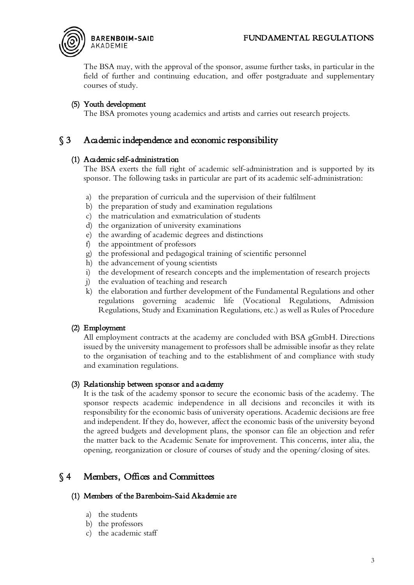# **BARENBOIM-SAID FUNDAMENTAL REGULATIONS**<br>AKADEMIE



The BSA may, with the approval of the sponsor, assume further tasks, in particular in the field of further and continuing education, and offer postgraduate and supplementary courses of study.

#### (5) Youth development

The BSA promotes young academics and artists and carries out research projects.

## <span id="page-2-0"></span>§ 3 Academic independence and economic responsibility

#### (1) Academic self-administration

The BSA exerts the full right of academic self-administration and is supported by its sponsor. The following tasks in particular are part of its academic self-administration:

- a) the preparation of curricula and the supervision of their fulfilment
- b) the preparation of study and examination regulations
- c) the matriculation and exmatriculation of students
- d) the organization of university examinations
- e) the awarding of academic degrees and distinctions
- f) the appointment of professors
- g) the professional and pedagogical training of scientific personnel
- h) the advancement of young scientists
- i) the development of research concepts and the implementation of research projects
- j) the evaluation of teaching and research
- k) the elaboration and further development of the Fundamental Regulations and other regulations governing academic life (Vocational Regulations, Admission Regulations, Study and Examination Regulations, etc.) as well as Rules of Procedure

#### (2) Employment

All employment contracts at the academy are concluded with BSA gGmbH. Directions issued by the university management to professors shall be admissible insofar as they relate to the organisation of teaching and to the establishment of and compliance with study and examination regulations.

#### (3) Relationship between sponsor and academy

It is the task of the academy sponsor to secure the economic basis of the academy. The sponsor respects academic independence in all decisions and reconciles it with its responsibility for the economic basis of university operations. Academic decisions are free and independent. If they do, however, affect the economic basis of the university beyond the agreed budgets and development plans, the sponsor can file an objection and refer the matter back to the Academic Senate for improvement. This concerns, inter alia, the opening, reorganization or closure of courses of study and the opening/closing of sites.

## <span id="page-2-1"></span>§ 4 Members, Offices and Committees

#### (1) Members of the Barenboim-Said Akademie are

- a) the students
- b) the professors
- c) the academic staff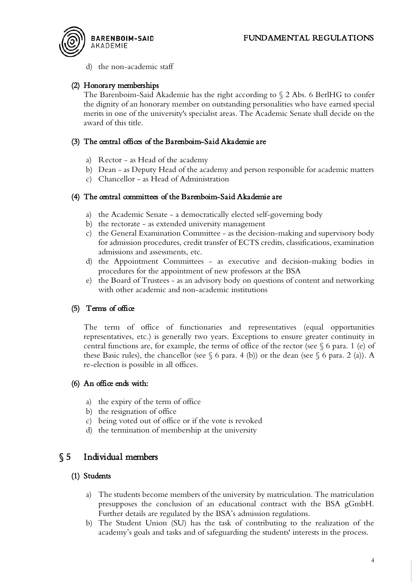

d) the non-academic staff

#### (2) Honorary memberships

The Barenboim-Said Akademie has the right according to § 2 Abs. 6 BerlHG to confer the dignity of an honorary member on outstanding personalities who have earned special merits in one of the university's specialist areas. The Academic Senate shall decide on the award of this title.

#### (3) The central offices of the Barenboim-Said Akademie are

- a) Rector as Head of the academy
- b) Dean as Deputy Head of the academy and person responsible for academic matters
- c) Chancellor as Head of Administration

#### (4) The central committees of the Barenboim-Said Akademie are

- a) the Academic Senate a democratically elected self-governing body
- b) the rectorate as extended university management
- c) the General Examination Committee as the decision-making and supervisory body for admission procedures, credit transfer of ECTS credits, classifications, examination admissions and assessments, etc.
- d) the Appointment Committees as executive and decision-making bodies in procedures for the appointment of new professors at the BSA
- e) the Board of Trustees as an advisory body on questions of content and networking with other academic and non-academic institutions

#### (5) Terms of office

The term of office of functionaries and representatives (equal opportunities representatives, etc.) is generally two years. Exceptions to ensure greater continuity in central functions are, for example, the terms of office of the rector (see  $\S$  6 para. 1 (e) of these Basic rules), the chancellor (see  $\S$  6 para. 4 (b)) or the dean (see  $\S$  6 para. 2 (a)). A re-election is possible in all offices.

#### (6) An office ends with:

- a) the expiry of the term of office
- b) the resignation of office
- c) being voted out of office or if the vote is revoked
- d) the termination of membership at the university

## <span id="page-3-0"></span>§ 5 Individual members

#### (1) Students

- a) The students become members of the university by matriculation. The matriculation presupposes the conclusion of an educational contract with the BSA gGmbH. Further details are regulated by the BSA's admission regulations.
- b) The Student Union (SU) has the task of contributing to the realization of the academy's goals and tasks and of safeguarding the students' interests in the process.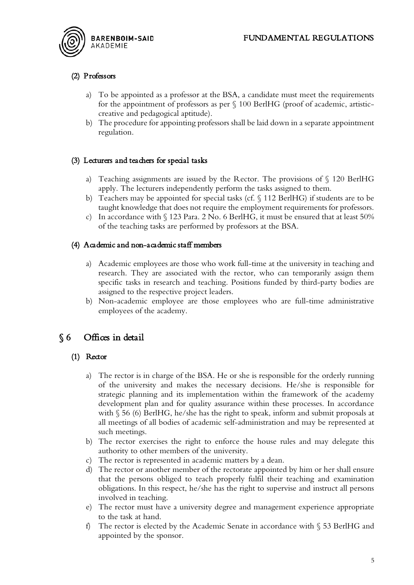

#### (2) Professors

- a) To be appointed as a professor at the BSA, a candidate must meet the requirements for the appointment of professors as per § 100 BerlHG (proof of academic, artisticcreative and pedagogical aptitude).
- b) The procedure for appointing professors shall be laid down in a separate appointment regulation.

#### (3) Lecturers and teachers for special tasks

- a) Teaching assignments are issued by the Rector. The provisions of § 120 BerlHG apply. The lecturers independently perform the tasks assigned to them.
- b) Teachers may be appointed for special tasks (cf. § 112 BerlHG) if students are to be taught knowledge that does not require the employment requirements for professors.
- c) In accordance with  $\S$  123 Para. 2 No. 6 BerlHG, it must be ensured that at least 50% of the teaching tasks are performed by professors at the BSA.

#### (4) Academic and non-academic staff members

- a) Academic employees are those who work full-time at the university in teaching and research. They are associated with the rector, who can temporarily assign them specific tasks in research and teaching. Positions funded by third-party bodies are assigned to the respective project leaders.
- b) Non-academic employee are those employees who are full-time administrative employees of the academy.

## <span id="page-4-0"></span>§ 6 Offices in detail

#### (1) Rector

- a) The rector is in charge of the BSA. He or she is responsible for the orderly running of the university and makes the necessary decisions. He/she is responsible for strategic planning and its implementation within the framework of the academy development plan and for quality assurance within these processes. In accordance with § 56 (6) BerlHG, he/she has the right to speak, inform and submit proposals at all meetings of all bodies of academic self-administration and may be represented at such meetings.
- b) The rector exercises the right to enforce the house rules and may delegate this authority to other members of the university.
- c) The rector is represented in academic matters by a dean.
- d) The rector or another member of the rectorate appointed by him or her shall ensure that the persons obliged to teach properly fulfil their teaching and examination obligations. In this respect, he/she has the right to supervise and instruct all persons involved in teaching.
- e) The rector must have a university degree and management experience appropriate to the task at hand.
- f) The rector is elected by the Academic Senate in accordance with § 53 BerlHG and appointed by the sponsor.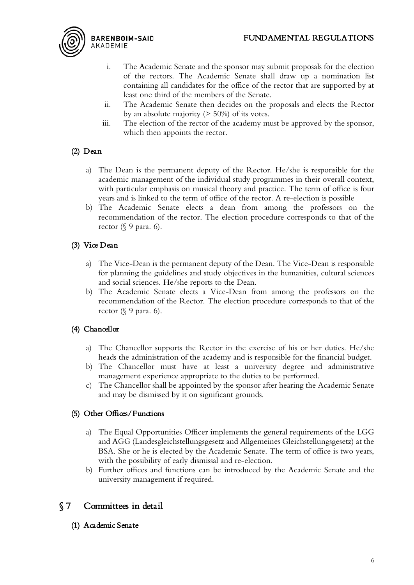

- i. The Academic Senate and the sponsor may submit proposals for the election of the rectors. The Academic Senate shall draw up a nomination list containing all candidates for the office of the rector that are supported by at least one third of the members of the Senate.
- ii. The Academic Senate then decides on the proposals and elects the Rector by an absolute majority (> 50%) of its votes.
- iii. The election of the rector of the academy must be approved by the sponsor, which then appoints the rector.

# (2) Dean

- a) The Dean is the permanent deputy of the Rector. He/she is responsible for the academic management of the individual study programmes in their overall context, with particular emphasis on musical theory and practice. The term of office is four years and is linked to the term of office of the rector. A re-election is possible
- b) The Academic Senate elects a dean from among the professors on the recommendation of the rector. The election procedure corresponds to that of the rector  $(\S 9$  para. 6).

## (3) Vice Dean

- a) The Vice-Dean is the permanent deputy of the Dean. The Vice-Dean is responsible for planning the guidelines and study objectives in the humanities, cultural sciences and social sciences. He/she reports to the Dean.
- b) The Academic Senate elects a Vice-Dean from among the professors on the recommendation of the Rector. The election procedure corresponds to that of the rector  $(\S 9$  para. 6).

## (4) Chancellor

- a) The Chancellor supports the Rector in the exercise of his or her duties. He/she heads the administration of the academy and is responsible for the financial budget.
- b) The Chancellor must have at least a university degree and administrative management experience appropriate to the duties to be performed.
- c) The Chancellor shall be appointed by the sponsor after hearing the Academic Senate and may be dismissed by it on significant grounds.

## (5) Other Offices/Functions

- a) The Equal Opportunities Officer implements the general requirements of the LGG and AGG (Landesgleichstellungsgesetz and Allgemeines Gleichstellungsgesetz) at the BSA. She or he is elected by the Academic Senate. The term of office is two years, with the possibility of early dismissal and re-election.
- b) Further offices and functions can be introduced by the Academic Senate and the university management if required.

# <span id="page-5-0"></span>§ 7 Committees in detail

(1) Academic Senate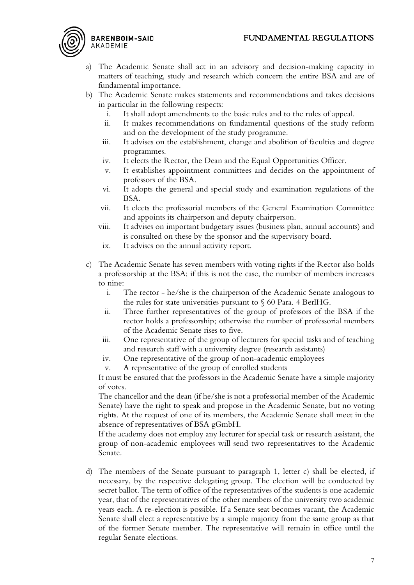# FUNDAMENTAL REGULATIONS

- a) The Academic Senate shall act in an advisory and decision-making capacity in matters of teaching, study and research which concern the entire BSA and are of fundamental importance.
- b) The Academic Senate makes statements and recommendations and takes decisions in particular in the following respects:
	- i. It shall adopt amendments to the basic rules and to the rules of appeal.
	- ii. It makes recommendations on fundamental questions of the study reform and on the development of the study programme.
	- iii. It advises on the establishment, change and abolition of faculties and degree programmes.
	- iv. It elects the Rector, the Dean and the Equal Opportunities Officer.
	- v. It establishes appointment committees and decides on the appointment of professors of the BSA.
	- vi. It adopts the general and special study and examination regulations of the BSA.
	- vii. It elects the professorial members of the General Examination Committee and appoints its chairperson and deputy chairperson.
	- viii. It advises on important budgetary issues (business plan, annual accounts) and is consulted on these by the sponsor and the supervisory board.
		- ix. It advises on the annual activity report.
- c) The Academic Senate has seven members with voting rights if the Rector also holds a professorship at the BSA; if this is not the case, the number of members increases to nine:
	- i. The rector he/she is the chairperson of the Academic Senate analogous to the rules for state universities pursuant to  $\S$  60 Para. 4 BerlHG.
	- ii. Three further representatives of the group of professors of the BSA if the rector holds a professorship; otherwise the number of professorial members of the Academic Senate rises to five.
	- iii. One representative of the group of lecturers for special tasks and of teaching and research staff with a university degree (research assistants)
	- iv. One representative of the group of non-academic employees
	- v. A representative of the group of enrolled students

It must be ensured that the professors in the Academic Senate have a simple majority of votes.

The chancellor and the dean (if he/she is not a professorial member of the Academic Senate) have the right to speak and propose in the Academic Senate, but no voting rights. At the request of one of its members, the Academic Senate shall meet in the absence of representatives of BSA gGmbH.

If the academy does not employ any lecturer for special task or research assistant, the group of non-academic employees will send two representatives to the Academic Senate.

d) The members of the Senate pursuant to paragraph 1, letter c) shall be elected, if necessary, by the respective delegating group. The election will be conducted by secret ballot. The term of office of the representatives of the students is one academic year, that of the representatives of the other members of the university two academic years each. A re-election is possible. If a Senate seat becomes vacant, the Academic Senate shall elect a representative by a simple majority from the same group as that of the former Senate member. The representative will remain in office until the regular Senate elections.